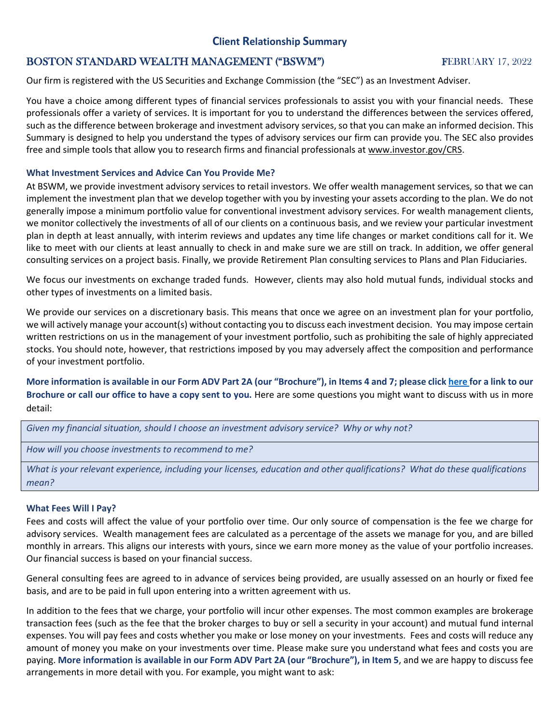# **Client Relationship Summary**

## **BOSTON STANDARD WEALTH MANAGEMENT ("BSWM") FEBRUARY 17, 2022**

Our firm is registered with the US Securities and Exchange Commission (the "SEC") as an Investment Adviser.

You have a choice among different types of financial services professionals to assist you with your financial needs. These professionals offer a variety of services. It is important for you to understand the differences between the services offered, such as the difference between brokerage and investment advisory services, so that you can make an informed decision. This Summary is designed to help you understand the types of advisory services our firm can provide you. The SEC also provides free and simple tools that allow you to research firms and financial professionals a[t www.investor.gov/CRS.](http://www.investor.gov/CRS)

### **What Investment Services and Advice Can You Provide Me?**

At BSWM, we provide investment advisory services to retail investors. We offer wealth management services, so that we can implement the investment plan that we develop together with you by investing your assets according to the plan. We do not generally impose a minimum portfolio value for conventional investment advisory services. For wealth management clients, we monitor collectively the investments of all of our clients on a continuous basis, and we review your particular investment plan in depth at least annually, with interim reviews and updates any time life changes or market conditions call for it. We like to meet with our clients at least annually to check in and make sure we are still on track. In addition, we offer general consulting services on a project basis. Finally, we provide Retirement Plan consulting services to Plans and Plan Fiduciaries.

We focus our investments on exchange traded funds. However, clients may also hold mutual funds, individual stocks and other types of investments on a limited basis.

We provide our services on a discretionary basis. This means that once we agree on an investment plan for your portfolio, we will actively manage your account(s) without contacting you to discuss each investment decision. You may impose certain written restrictions on us in the management of your investment portfolio, such as prohibiting the sale of highly appreciated stocks. You should note, however, that restrictions imposed by you may adversely affect the composition and performance of your investment portfolio.

**More information is available in our Form ADV Part 2A (our "Brochure"), in Items 4 and 7; please clic[k here f](https://adviserinfo.sec.gov/firm/summary/156452)or a link to our Brochure or call our office to have a copy sent to you.** Here are some questions you might want to discuss with us in more detail:

*Given my financial situation, should I choose an investment advisory service? Why or why not?*

*How will you choose investments to recommend to me?*

*What is your relevant experience, including your licenses, education and other qualifications? What do these qualifications mean?*

## **What Fees Will I Pay?**

Fees and costs will affect the value of your portfolio over time. Our only source of compensation is the fee we charge for advisory services. Wealth management fees are calculated as a percentage of the assets we manage for you, and are billed monthly in arrears. This aligns our interests with yours, since we earn more money as the value of your portfolio increases. Our financial success is based on your financial success.

General consulting fees are agreed to in advance of services being provided, are usually assessed on an hourly or fixed fee basis, and are to be paid in full upon entering into a written agreement with us.

In addition to the fees that we charge, your portfolio will incur other expenses. The most common examples are brokerage transaction fees (such as the fee that the broker charges to buy or sell a security in your account) and mutual fund internal expenses. You will pay fees and costs whether you make or lose money on your investments. Fees and costs will reduce any amount of money you make on your investments over time. Please make sure you understand what fees and costs you are paying. **More information is available in our Form ADV Part 2A (our "Brochure"), in Item 5**, and we are happy to discuss fee arrangements in more detail with you. For example, you might want to ask: